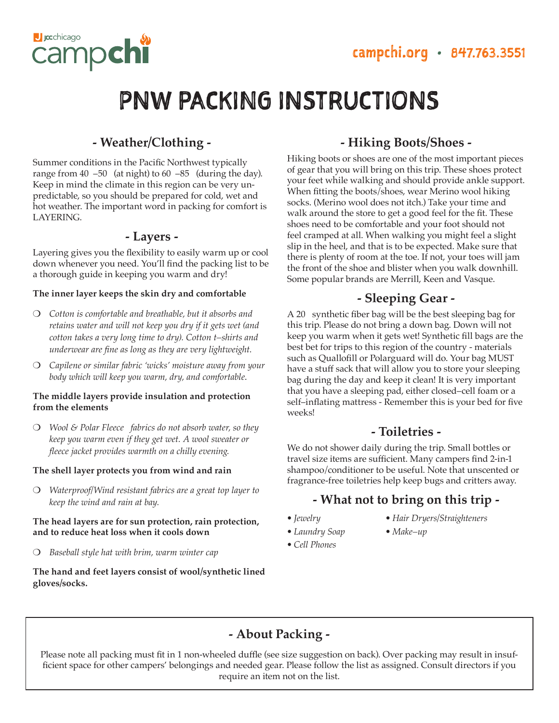

## **- Weather/Clothing -**

**J** cchicago

campch

Summer conditions in the Pacific Northwest typically range from 40 –50 (at night) to 60 –85 (during the day). Keep in mind the climate in this region can be very unpredictable, so you should be prepared for cold, wet and hot weather. The important word in packing for comfort is LAYERING.

### **- Layers -**

Layering gives you the flexibility to easily warm up or cool down whenever you need. You'll find the packing list to be a thorough guide in keeping you warm and dry!

#### **The inner layer keeps the skin dry and comfortable**

- ❍ *Cotton is comfortable and breathable, but it absorbs and retains water and will not keep you dry if it gets wet (and cotton takes a very long time to dry). Cotton t–shirts and underwear are fine as long as they are very lightweight.*
- ❍ *Capilene or similar fabric 'wicks' moisture away from your body which will keep you warm, dry, and comfortable*.

#### **The middle layers provide insulation and protection from the elements**

❍ *Wool & Polar Fleece fabrics do not absorb water, so they keep you warm even if they get wet. A wool sweater or fleece jacket provides warmth on a chilly evening.*

#### **The shell layer protects you from wind and rain**

❍ *Waterproof/Wind resistant fabrics are a great top layer to keep the wind and rain at bay.*

#### **The head layers are for sun protection, rain protection, and to reduce heat loss when it cools down**

❍ *Baseball style hat with brim, warm winter cap*

#### **The hand and feet layers consist of wool/synthetic lined gloves/socks.**

# **- Hiking Boots/Shoes -**

Hiking boots or shoes are one of the most important pieces of gear that you will bring on this trip. These shoes protect your feet while walking and should provide ankle support. When fitting the boots/shoes, wear Merino wool hiking socks. (Merino wool does not itch.) Take your time and walk around the store to get a good feel for the fit. These shoes need to be comfortable and your foot should not feel cramped at all. When walking you might feel a slight slip in the heel, and that is to be expected. Make sure that there is plenty of room at the toe. If not, your toes will jam the front of the shoe and blister when you walk downhill. Some popular brands are Merrill, Keen and Vasque.

## **- Sleeping Gear -**

A 20 synthetic fiber bag will be the best sleeping bag for this trip. Please do not bring a down bag. Down will not keep you warm when it gets wet! Synthetic fill bags are the best bet for trips to this region of the country - materials such as Quallofill or Polarguard will do. Your bag MUST have a stuff sack that will allow you to store your sleeping bag during the day and keep it clean! It is very important that you have a sleeping pad, either closed–cell foam or a self–inflating mattress - Remember this is your bed for five weeks!

## **- Toiletries -**

We do not shower daily during the trip. Small bottles or travel size items are sufficient. Many campers find 2-in-1 shampoo/conditioner to be useful. Note that unscented or fragrance-free toiletries help keep bugs and critters away.

# **- What not to bring on this trip -**

- 
- *Jewelry Hair Dryers/Straighteners*
- *Laundry Soap Make–up*
- *Cell Phones*

**- About Packing -**

Please note all packing must fit in 1 non-wheeled duffle (see size suggestion on back). Over packing may result in insufficient space for other campers' belongings and needed gear. Please follow the list as assigned. Consult directors if you require an item not on the list.